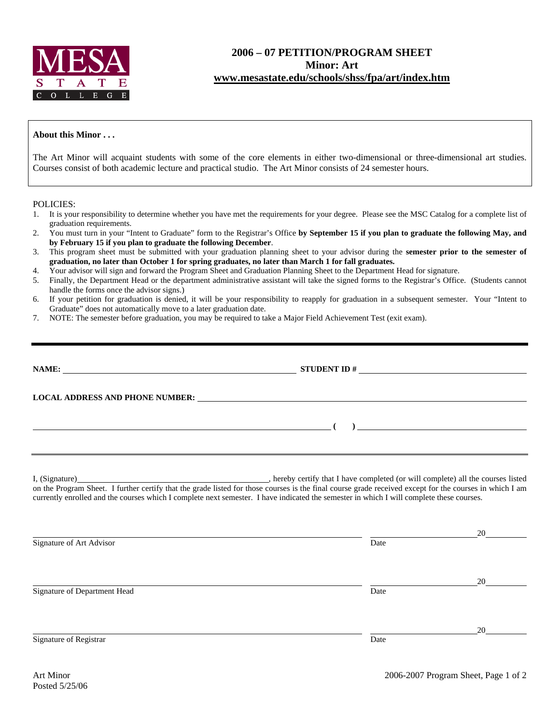

## **2006 – 07 PETITION/PROGRAM SHEET Minor: Art www.mesastate.edu/schools/shss/fpa/art/index.htm**

## **About this Minor . . .**

The Art Minor will acquaint students with some of the core elements in either two-dimensional or three-dimensional art studies. Courses consist of both academic lecture and practical studio. The Art Minor consists of 24 semester hours.

POLICIES:

- 1. It is your responsibility to determine whether you have met the requirements for your degree. Please see the MSC Catalog for a complete list of graduation requirements.
- 2. You must turn in your "Intent to Graduate" form to the Registrar's Office **by September 15 if you plan to graduate the following May, and by February 15 if you plan to graduate the following December**.
- 3. This program sheet must be submitted with your graduation planning sheet to your advisor during the **semester prior to the semester of graduation, no later than October 1 for spring graduates, no later than March 1 for fall graduates.**
- 4. Your advisor will sign and forward the Program Sheet and Graduation Planning Sheet to the Department Head for signature.
- 5. Finally, the Department Head or the department administrative assistant will take the signed forms to the Registrar's Office. (Students cannot handle the forms once the advisor signs.)
- 6. If your petition for graduation is denied, it will be your responsibility to reapply for graduation in a subsequent semester. Your "Intent to Graduate" does not automatically move to a later graduation date.
- 7. NOTE: The semester before graduation, you may be required to take a Major Field Achievement Test (exit exam).

| <u> 1999 - Johann John Stoff, deutscher Stoffen und der Stoffen und der Stoffen und der Stoffen und der Stoffen un</u> |                                                                                                                                          |              |
|------------------------------------------------------------------------------------------------------------------------|------------------------------------------------------------------------------------------------------------------------------------------|--------------|
|                                                                                                                        | currently enrolled and the courses which I complete next semester. I have indicated the semester in which I will complete these courses. |              |
| Signature of Art Advisor                                                                                               | Date                                                                                                                                     |              |
| Signature of Department Head                                                                                           | Date                                                                                                                                     | $20 \degree$ |

Signature of Registrar Date

<u>20</u>